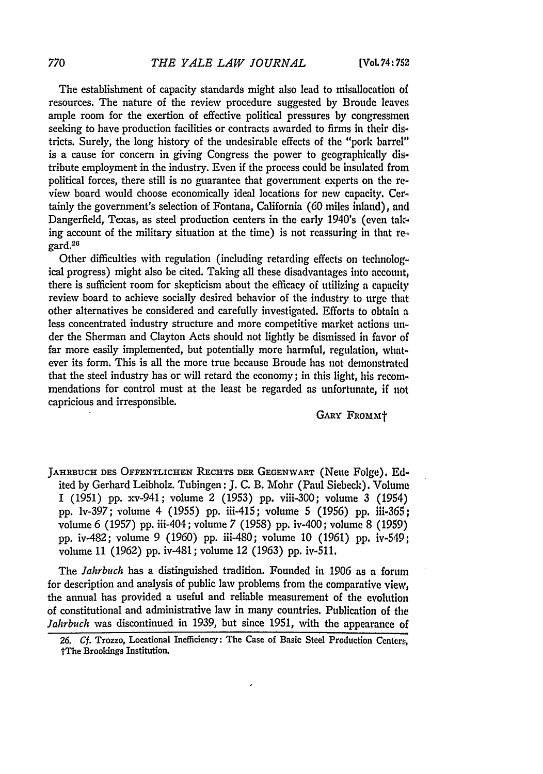The establishment of capacity standards might also lead to misallocation **of** resources. The nature of the review procedure suggested **by** Broude leaves ample room for the exertion of effective political pressures by congressmen seeking to have production facilities or contracts awarded to firms in their districts. Surely, the long history of the undesirable effects of the "pork barrel" is a cause for concern in giving Congress the power to geographically distribute employment in the industry. Even if the process could **be** insulated from political forces, there still is no guarantee that government experts on the review board would choose economically ideal locations for new capacity. Certainly the government's selection of Fontana, California **(60** miles inland), and Dangerfield, Texas, as steel production centers in the early 1940's (even taking account of the military situation at the time) is not reassuring in that regard.<sup>26</sup>

Other difficulties with regulation (including retarding effects on technological progress) might also be cited. Taking all these disadvantages into account, there is sufficient room for skepticism about the efficacy of utilizing a capacity review board to achieve socially desired behavior of the industry to urge that other alternatives be considered and carefully investigated. Efforts to obtain a less concentrated industry structure and more competitive market actions **un**der the Sherman and Clayton Acts should not lightly be dismissed in favor of far more easily implemented, but potentially more harmful, regulation, whatever its form. This is all the more true because Broude has not demonstrated that the steel industry has or will retard the economy; in this light, his recom mendations for control must at the least be regarded as unfortunate, if not capricious and irresponsible.

GARY FRommt

JAHRBUCH DES OFFENTLICHEN RECHTS DER GEGENWART (Neue Folge). Edited by Gerhard Leibholz. Tubingen: J. C. B. Mohr (Paul Siebeck). Volume I (1951) pp. xv-941; volume 2 (1953) **pp.** viii-300; volume 3 (1954) pp. lv-397; volume 4 (1955) pp. iii-415; volume 5 (1956) pp. iii-365; volume 6 (1957) pp. iii-404; volume 7 (1958) **pp.** iv-400; volume 8 *(1959)* pp. iv-482; volume 9 (1960) pp. iii-480; volume 10 (1961) pp. iv-549; volume 11 (1962) pp. iv-481; volume 12 (1963) **pp.** iv-511.

The *Jahrbuch* has a distinguished tradition. Founded in 1906 as a forum for description and analysis of public law problems from the comparative view, the annual has provided a useful and reliable measurement of the evolution of constitutional and administrative law in many countries. Publication of the *Jahrbuch* was discontinued in 1939, but since 1951, with the appearance of

**<sup>26.</sup> Cf.** Trozzo, Locational Inefficiency: The Case of Basic Steel Production Centers, tThe Brookings Institution.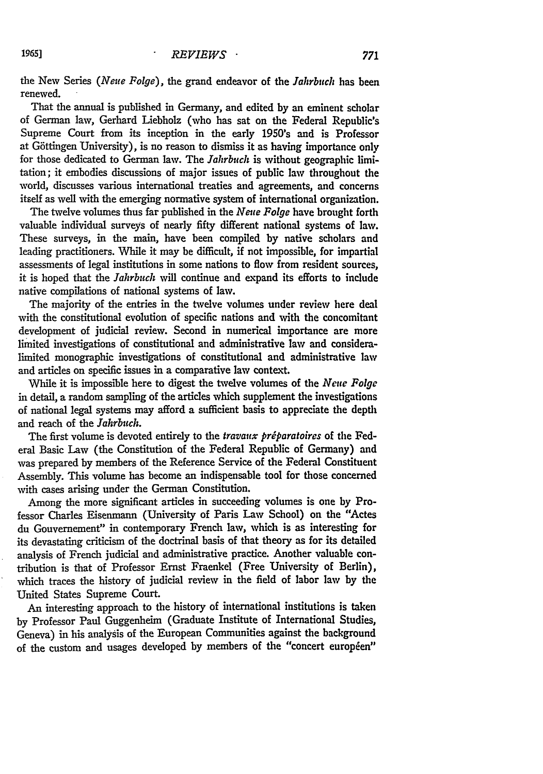the New Series *(Neue Folge),* the grand endeavor of the *Jahrbuch* has been renewed.

That the annual is published in Germany, and edited **by** an eminent scholar of German law, Gerhard Liebholz (who has sat on the Federal Republic's Supreme Court from its inception in the early 1950's and is Professor at Göttingen University), is no reason to dismiss it as having importance only for those dedicated to German law. The *Jahrbuch* is without geographic limitation; it embodies discussions of major issues of public law throughout the world, discusses various international treaties and agreements, and concerns itself as well with the emerging normative system of international organization.

The twelve volumes thus far published in the *Neue Folge* have brought forth valuable individual surveys of nearly fifty different national systems of law. These surveys, in the main, have been compiled **by** native scholars and leading practitioners. While it may be difficult, if not impossible, for impartial assessments of legal institutions in some nations to flow from resident sources, it is hoped that the *Jahrbuch* will continue and expand its efforts to include native compilations of national systems of law.

The majority of the entries in the twelve volumes under review here deal with the constitutional evolution of specific nations and with the concomitant development of judicial review. Second in numerical importance are more limited investigations of constitutional and administrative law and consideralimited monographic investigations of constitutional and administrative law and articles on specific issues in a comparative law context.

While it is impossible here to digest the twelve volumes of the *Neue Folge* in detail, a random sampling of the articles which supplement the investigations of national legal systems may afford a sufficient basis to appreciate the depth and reach of the *Jahrbuch.*

The first volume is devoted entirely to the *travaux préparatoires* of the Federal Basic Law (the Constitution of the Federal Republic of Germany) and was prepared by members of the Reference Service of the Federal Constituent Assembly. This volume has become an indispensable tool for those concerned with cases arising under the German Constitution.

Among the more significant articles in succeeding volumes is one **by** Professor Charles Eisenmann (University of Paris Law School) on the "Actes du Gouvernement" in contemporary French law, which is as interesting for its devastating criticism of the doctrinal basis of that theory as for its detailed analysis of French judicial and administrative practice. Another valuable contribution is that of Professor Ernst Fraenkel (Free University of Berlin), which traces the history of judicial review in the field of labor law **by** the United States Supreme Court.

An interesting approach to the history of international institutions is taken **by** Professor Paul Guggenheim (Graduate Institute of International Studies, Geneva) in his analysis of the European Communities against the background of the custom and usages developed by members of the "concert européen"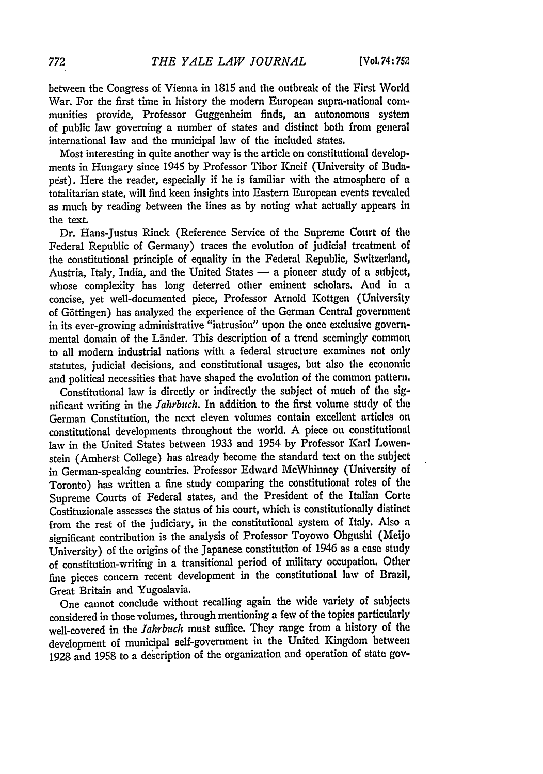between the Congress of Vienna in 1815 and the outbreak of the First World War. For the first time in history the modem European supra-national communities provide, Professor Guggenheim finds, an autonomous system of public law governing a number of states and distinct both from general international law and the municipal law of the included states.

Most interesting in quite another way is the article on constitutional developments in Hungary since 1945 by Professor Tibor Kneif (University of Budapest). Here the reader, especially if he is familiar with the atmosphere of **a** totalitarian state, will find keen insights into Eastern European events revealed as much by reading between the lines as **by** noting what actually appears in the text.

Dr. Hans-Justus Rinck (Reference Service of the Supreme Court of the Federal Republic of Germany) traces the evolution of judicial treatment of the constitutional principle of equality in the Federal Republic, Switzerland, Austria, Italy, India, and the United States - a pioneer study of a subject, whose complexity has long deterred other eminent scholars. And in **a** concise, yet well-documented piece, Professor Arnold Kottgen (University of Göttingen) has analyzed the experience of the German Central government in its ever-growing administrative "intrusion" upon the once exclusive governmental domain of the Länder. This description of a trend seemingly common to all modem industrial nations with a federal structure examines not only statutes, judicial decisions, and constitutional usages, but also the economic and political necessities that have shaped the evolution of the common pattern.

Constitutional law is directly or indirectly the subject of much of the significant writing in the *fahrbueh.* In addition to the first volume study of the German Constitution, the next eleven volumes contain excellent articles on constitutional developments throughout the world. A piece on constitutional law in the United States between 1933 and 1954 **by** Professor Karl Lowenstein (Amherst College) has already become the standard text on the subject in German-speaking countries. Professor Edward McWhinney (University **of** Toronto) has written a fine study comparing the constitutional roles of the Supreme Courts of Federal states, and the President of the Italian Corte Costituzionale assesses the status of his court, which is constitutionally distinct from the rest of the judiciary, in the constitutional system of Italy. Also a significant contribution is the analysis of Professor Toyowo Ohgushi (Meijo University) of the origins of the Japanese constitution of 1946 as a case study of constitution-writing in a transitional period of military occupation. Other fine pieces concern recent development in the constitutional **law** of Brazil, Great Britain and Yugoslavia.

One cannot conclude without recalling again the wide variety of subjects considered in those volumes, through mentioning a few of the topics particularly well-covered in the *Jahrbuch* must suffice. They range from a history of the development of municipal self-government in the United Kingdom between **1928** and 1958 to a description of the organization and operation of state gov-